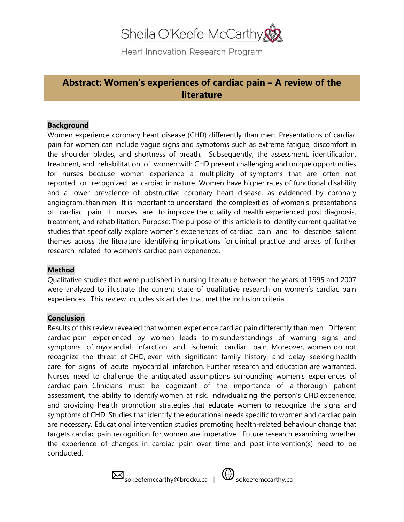# Sheila O'Keefe-McCarthy

Heart Innovation Research Program

### **Abstract: Women's experiences of cardiac pain – A review of the literature**

#### **Background**

Women experience coronary heart disease (CHD) differently than men. Presentations of cardiac pain for women can include vague signs and symptoms such as extreme fatigue, discomfort in the shoulder blades, and shortness of breath. Subsequently, the assessment, identification, treatment, and rehabilitation of women with CHD present challenging and unique opportunities for nurses because women experience a multiplicity of symptoms that are often not reported or recognized as cardiac in nature. Women have higher rates of functional disability and a lower prevalence of obstructive coronary heart disease, as evidenced by coronary angiogram, than men. It is important to understand the complexities of women's presentations of cardiac pain if nurses are to improve the quality of health experienced post diagnosis, treatment, and rehabilitation. Purpose: The purpose of this article is to identify current qualitative studies that specifically explore women's experiences of cardiac pain and to describe salient themes across the literature identifying implications for clinical practice and areas of further research related to women's cardiac pain experience.

#### **Method**

Qualitative studies that were published in nursing literature between the years of 1995 and 2007 were analyzed to illustrate the current state of qualitative research on women's cardiac pain experiences. This review includes six articles that met the inclusion criteria.

#### **Conclusion**

Results of this review revealed that women experience cardiac pain differently than men. Different cardiac pain experienced by women leads to misunderstandings of warning signs and symptoms of myocardial infarction and ischemic cardiac pain. Moreover, women do not recognize the threat of CHD, even with significant family history, and delay seeking health care for signs of acute myocardial infarction. Further research and education are warranted. Nurses need to challenge the antiquated assumptions surrounding women's experiences of cardiac pain. Clinicians must be cognizant of the importance of a thorough patient assessment, the ability to identify women at risk, individualizing the person's CHD experience, and providing health promotion strategies that educate women to recognize the signs and symptoms of CHD. Studies that identify the educational needs specific to women and cardiac pain are necessary. Educational intervention studies promoting health-related behaviour change that targets cardiac pain recognition for women are imperative. Future research examining whether the experience of changes in cardiac pain over time and post-intervention(s) need to be conducted.

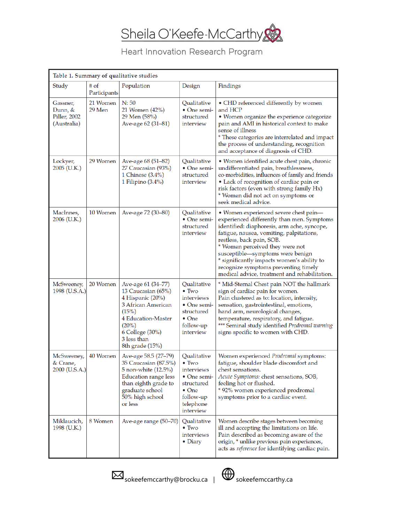

## Heart Innovation Research Program

| Table 1. Summary of qualitative studies            |                      |                                                                                                                                                                                    |                                                                                                                                         |                                                                                                                                                                                                                                                                                                                                                                                                                            |
|----------------------------------------------------|----------------------|------------------------------------------------------------------------------------------------------------------------------------------------------------------------------------|-----------------------------------------------------------------------------------------------------------------------------------------|----------------------------------------------------------------------------------------------------------------------------------------------------------------------------------------------------------------------------------------------------------------------------------------------------------------------------------------------------------------------------------------------------------------------------|
| Study                                              | # of<br>Participants | Population                                                                                                                                                                         | Design                                                                                                                                  | Findings                                                                                                                                                                                                                                                                                                                                                                                                                   |
| Gassner,<br>Dunn, &<br>Piller, 2002<br>(Australia) | 21 Women<br>29 Men   | N:50<br>21 Women (42%)<br>29 Men (58%)<br>Ave-age 62 (31-81)                                                                                                                       | Qualitative<br>• One semi-<br>structured<br>interview                                                                                   | • CHD referenced differently by women<br>and HCP<br>• Women organize the experience categorize<br>pain and AMI in historical context to make<br>sense of illness<br>* These categories are interrelated and impact<br>the process of understanding, recognition<br>and acceptance of diagnosis of CHD.                                                                                                                     |
| Lockyer,<br>2005 (U.K.)                            | 29 Women             | Ave-age 68 (51-82)<br>27 Caucasian (93%)<br>1 Chinese $(3.4\%)$<br>1 Filipino (3.4%)                                                                                               | Qualitative<br>$\bullet$ One semi-<br>structured<br>interview                                                                           | · Women identified acute chest pain, chronic<br>undifferentiated pain, breathlessness,<br>co-morbidities, influences of family and friends<br>• Lack of recognition of cardiac pain or<br>risk factors (even with strong family Hx)<br>* Women did not act on symptoms or<br>seek medical advice.                                                                                                                          |
| MacInnes,<br>2006 (U.K.)                           | 10 Women             | Ave-age 72 (30-80)                                                                                                                                                                 | Qualitative<br>$\bullet$ One semi-<br>structured<br>interview                                                                           | · Women experienced severe chest pain-<br>experienced differently than men. Symptoms<br>identified: diaphoresis, arm ache, syncope,<br>fatigue, nausea, vomiting, palpitations,<br>restless, back pain, SOB.<br>* Women perceived they were not<br>susceptible-symptoms were benign<br>* significantly impacts women's ability to<br>recognize symptoms preventing timely<br>medical advice, treatment and rehabilitation. |
| McSweeney,<br>1998 (U.S.A.)                        | 20 Women             | Ave-age 61 (34–77)<br>13 Caucasian (65%)<br>4 Hispanic (20%)<br>3 African American<br>(15%)<br>4 Education-Master<br>$(20\%)$<br>6 College (30%)<br>3 less than<br>8th grade (15%) | Qualitative<br>$\bullet$ Two<br>interviews<br>$\bullet$ One semi-<br>structured<br>$\bullet$ One<br>follow-up<br>interview              | * Mid-Sternal Chest pain NOT the hallmark<br>sign of cardiac pain for women.<br>Pain clustered as to: location, intensity,<br>sensation, gastrointestinal, emotions,<br>hand arm, neurological changes,<br>temperature, respiratory, and fatigue.<br>*** Seminal study identified Prodromal warning<br>signs specific to women with CHD.                                                                                   |
| McSweeney,<br>& Crane,<br>2000 (U.S.A.)            | 40 Women             | Ave-age 58.5 (27–79)<br>35 Caucasian (87.5%)<br>5 non-white (12.5%)<br><b>Education range less</b><br>than eighth grade to<br>graduate school<br>50% high school<br>or less        | Qualitative<br>$\bullet$ Two<br>interviews<br>$\bullet$ One semi-<br>structured<br>$\bullet$ One<br>follow-up<br>telephone<br>interview | Women experienced Prodromal symptoms:<br>fatigue, shoulder blade discomfort and<br>chest sensations.<br>Acute Symptoms: chest sensations, SOB,<br>feeling hot or flushed.<br>* 92% women experienced prodromal<br>symptoms prior to a cardiac event.                                                                                                                                                                       |
| Miklaucich,<br>1998 (U.K.)                         | 8 Women              | Ave-age range (50–70)                                                                                                                                                              | Qualitative<br>$\bullet$ Two<br>interviews<br>$\bullet$ Diary                                                                           | Women describe stages between becoming<br>ill and accepting the limitations on life.<br>Pain described as becoming aware of the<br>origin, * unlike previous pain experiences,<br>acts as reference for identifying cardiac pain.                                                                                                                                                                                          |